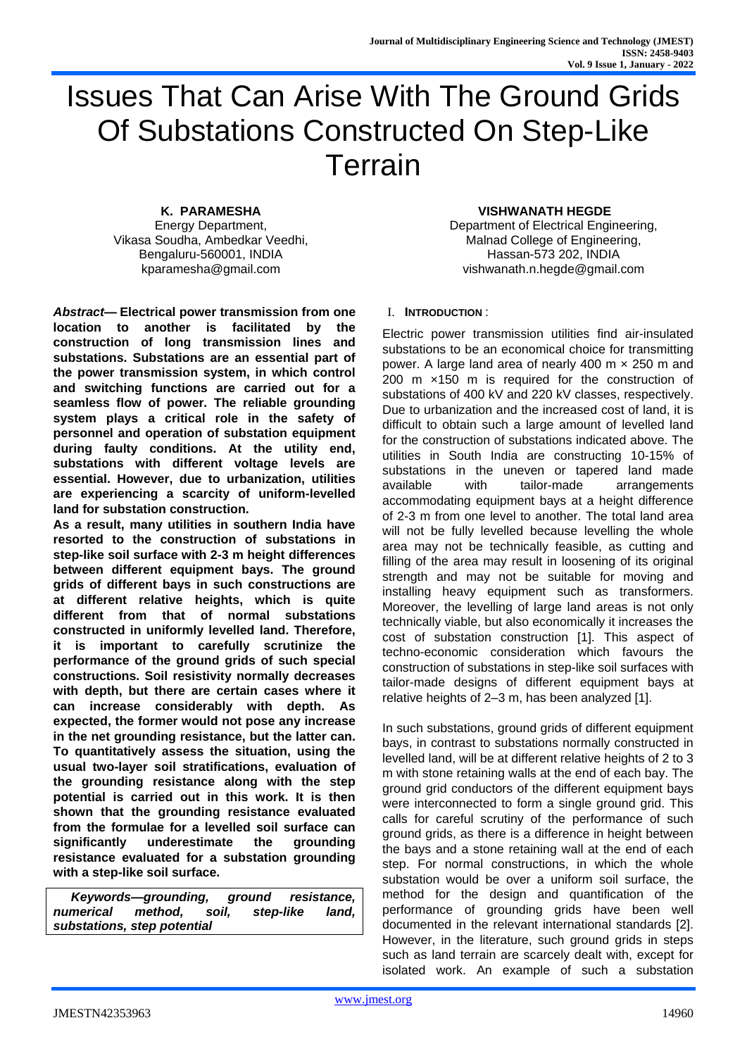# Issues That Can Arise With The Ground Grids Of Substations Constructed On Step-Like Terrain

**K. PARAMESHA** Energy Department, Vikasa Soudha, Ambedkar Veedhi, Bengaluru-560001, INDIA kparamesha@gmail.com

*Abstract***— Electrical power transmission from one location to another is facilitated by the construction of long transmission lines and substations. Substations are an essential part of the power transmission system, in which control and switching functions are carried out for a seamless flow of power. The reliable grounding system plays a critical role in the safety of personnel and operation of substation equipment during faulty conditions. At the utility end, substations with different voltage levels are essential. However, due to urbanization, utilities are experiencing a scarcity of uniform-levelled land for substation construction.** 

**As a result, many utilities in southern India have resorted to the construction of substations in step-like soil surface with 2-3 m height differences between different equipment bays. The ground grids of different bays in such constructions are at different relative heights, which is quite different from that of normal substations constructed in uniformly levelled land. Therefore, it is important to carefully scrutinize the performance of the ground grids of such special constructions. Soil resistivity normally decreases with depth, but there are certain cases where it can increase considerably with depth. As expected, the former would not pose any increase in the net grounding resistance, but the latter can. To quantitatively assess the situation, using the usual two-layer soil stratifications, evaluation of the grounding resistance along with the step potential is carried out in this work. It is then shown that the grounding resistance evaluated from the formulae for a levelled soil surface can significantly underestimate the grounding resistance evaluated for a substation grounding with a step-like soil surface.** 

*Keywords—grounding, ground resistance, numerical method, soil, step-like land, substations, step potential*

## **VISHWANATH HEGDE**

Department of Electrical Engineering, Malnad College of Engineering, Hassan-573 202, INDIA vishwanath.n.hegde@gmail.com

## I. **INTRODUCTION** :

Electric power transmission utilities find air-insulated substations to be an economical choice for transmitting power. A large land area of nearly 400 m × 250 m and 200 m ×150 m is required for the construction of substations of 400 kV and 220 kV classes, respectively. Due to urbanization and the increased cost of land, it is difficult to obtain such a large amount of levelled land for the construction of substations indicated above. The utilities in South India are constructing 10-15% of substations in the uneven or tapered land made available with tailor-made arrangements accommodating equipment bays at a height difference of 2-3 m from one level to another. The total land area will not be fully levelled because levelling the whole area may not be technically feasible, as cutting and filling of the area may result in loosening of its original strength and may not be suitable for moving and installing heavy equipment such as transformers. Moreover, the levelling of large land areas is not only technically viable, but also economically it increases the cost of substation construction [1]. This aspect of techno-economic consideration which favours the construction of substations in step-like soil surfaces with tailor-made designs of different equipment bays at relative heights of 2–3 m, has been analyzed [1].

In such substations, ground grids of different equipment bays, in contrast to substations normally constructed in levelled land, will be at different relative heights of 2 to 3 m with stone retaining walls at the end of each bay. The ground grid conductors of the different equipment bays were interconnected to form a single ground grid. This calls for careful scrutiny of the performance of such ground grids, as there is a difference in height between the bays and a stone retaining wall at the end of each step. For normal constructions, in which the whole substation would be over a uniform soil surface, the method for the design and quantification of the performance of grounding grids have been well documented in the relevant international standards [2]. However, in the literature, such ground grids in steps such as land terrain are scarcely dealt with, except for isolated work. An example of such a substation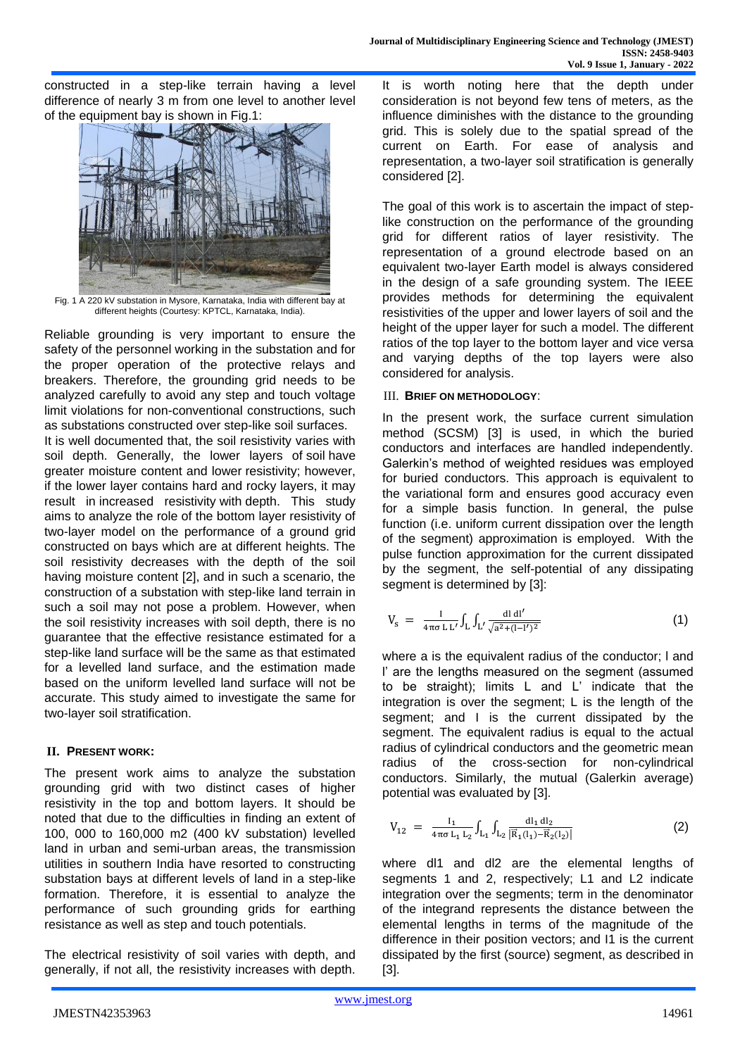constructed in a step-like terrain having a level difference of nearly 3 m from one level to another level of the equipment bay is shown in Fig.1:



Fig. 1 A 220 kV substation in Mysore, Karnataka, India with different bay at different heights (Courtesy: KPTCL, Karnataka, India).

Reliable grounding is very important to ensure the safety of the personnel working in the substation and for the proper operation of the protective relays and breakers. Therefore, the grounding grid needs to be analyzed carefully to avoid any step and touch voltage limit violations for non-conventional constructions, such as substations constructed over step-like soil surfaces. It is well documented that, the soil resistivity varies with soil depth. Generally, the lower layers of soil have greater moisture content and lower resistivity; however, if the lower layer contains hard and rocky layers, it may result in increased resistivity with depth. This study aims to analyze the role of the bottom layer resistivity of two-layer model on the performance of a ground grid constructed on bays which are at different heights. The soil resistivity decreases with the depth of the soil having moisture content [2], and in such a scenario, the construction of a substation with step-like land terrain in such a soil may not pose a problem. However, when the soil resistivity increases with soil depth, there is no guarantee that the effective resistance estimated for a step-like land surface will be the same as that estimated for a levelled land surface, and the estimation made based on the uniform levelled land surface will not be accurate. This study aimed to investigate the same for two-layer soil stratification.

## **II. PRESENT WORK:**

The present work aims to analyze the substation grounding grid with two distinct cases of higher resistivity in the top and bottom layers. It should be noted that due to the difficulties in finding an extent of 100, 000 to 160,000 m2 (400 kV substation) levelled land in urban and semi-urban areas, the transmission utilities in southern India have resorted to constructing substation bays at different levels of land in a step-like formation. Therefore, it is essential to analyze the performance of such grounding grids for earthing resistance as well as step and touch potentials.

The electrical resistivity of soil varies with depth, and generally, if not all, the resistivity increases with depth.

It is worth noting here that the depth under consideration is not beyond few tens of meters, as the influence diminishes with the distance to the grounding grid. This is solely due to the spatial spread of the current on Earth. For ease of analysis and representation, a two-layer soil stratification is generally considered [2].

The goal of this work is to ascertain the impact of steplike construction on the performance of the grounding grid for different ratios of layer resistivity. The representation of a ground electrode based on an equivalent two-layer Earth model is always considered in the design of a safe grounding system. The IEEE provides methods for determining the equivalent resistivities of the upper and lower layers of soil and the height of the upper layer for such a model. The different ratios of the top layer to the bottom layer and vice versa and varying depths of the top layers were also considered for analysis.

## III. **BRIEF ON METHODOLOGY**:

In the present work, the surface current simulation method (SCSM) [3] is used, in which the buried conductors and interfaces are handled independently. Galerkin's method of weighted residues was employed for buried conductors. This approach is equivalent to the variational form and ensures good accuracy even for a simple basis function. In general, the pulse function (i.e. uniform current dissipation over the length of the segment) approximation is employed. With the pulse function approximation for the current dissipated by the segment, the self-potential of any dissipating segment is determined by [3]:

$$
V_{s} = \frac{I}{4\pi\sigma L L'} \int_{L} \int_{L'} \frac{dl \, dl'}{\sqrt{a^{2} + (1 - l')^{2}}} \tag{1}
$$

where a is the equivalent radius of the conductor; l and l' are the lengths measured on the segment (assumed to be straight); limits L and L' indicate that the integration is over the segment; L is the length of the segment; and I is the current dissipated by the segment. The equivalent radius is equal to the actual radius of cylindrical conductors and the geometric mean radius of the cross-section for non-cylindrical conductors. Similarly, the mutual (Galerkin average) potential was evaluated by [3].

$$
V_{12} = \frac{I_1}{4\pi\sigma L_1 L_2} \int_{L_1} \int_{L_2} \frac{dl_1 dl_2}{|\vec{R}_1(l_1) - \vec{R}_2(l_2)|}
$$
(2)

where dl1 and dl2 are the elemental lengths of segments 1 and 2, respectively; L1 and L2 indicate integration over the segments; term in the denominator of the integrand represents the distance between the elemental lengths in terms of the magnitude of the difference in their position vectors; and I1 is the current dissipated by the first (source) segment, as described in [3].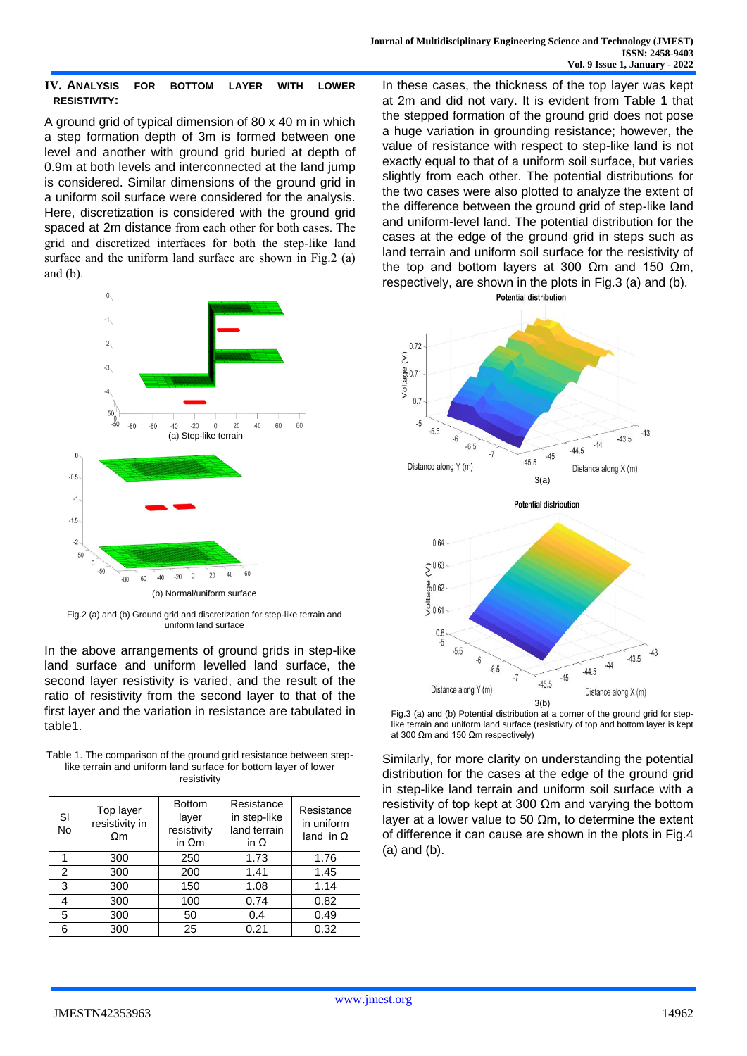## **IV. ANALYSIS FOR BOTTOM LAYER WITH LOWER RESISTIVITY:**

A ground grid of typical dimension of 80 x 40 m in which a step formation depth of 3m is formed between one level and another with ground grid buried at depth of 0.9m at both levels and interconnected at the land jump is considered. Similar dimensions of the ground grid in a uniform soil surface were considered for the analysis. Here, discretization is considered with the ground grid spaced at 2m distance from each other for both cases. The grid and discretized interfaces for both the step-like land surface and the uniform land surface are shown in Fig.2 (a) and (b).



Fig.2 (a) and (b) Ground grid and discretization for step-like terrain and uniform land surface

In the above arrangements of ground grids in step-like land surface and uniform levelled land surface, the second layer resistivity is varied, and the result of the ratio of resistivity from the second layer to that of the first layer and the variation in resistance are tabulated in table1.

| Table 1. The comparison of the ground grid resistance between step- |
|---------------------------------------------------------------------|
| like terrain and uniform land surface for bottom layer of lower     |
| resistivity                                                         |

| SI<br>No | Top layer<br>resistivity in<br>$\Omega$ m | <b>Bottom</b><br>layer<br>resistivity<br>in $\Omega$ m | Resistance<br>in step-like<br>land terrain<br>in $\Omega$ | Resistance<br>in uniform<br>land in $\Omega$ |
|----------|-------------------------------------------|--------------------------------------------------------|-----------------------------------------------------------|----------------------------------------------|
|          | 300                                       | 250                                                    | 1.73                                                      | 1.76                                         |
| 2        | 300                                       | 200                                                    | 1.41                                                      | 1.45                                         |
| 3        | 300                                       | 150                                                    | 1.08                                                      | 1.14                                         |
| 4        | 300                                       | 100                                                    | 0.74                                                      | 0.82                                         |
| 5        | 300                                       | 50                                                     | 0.4                                                       | 0.49                                         |
| 6        | 300                                       | 25                                                     | 0.21                                                      | 0.32                                         |

In these cases, the thickness of the top layer was kept at 2m and did not vary. It is evident from Table 1 that the stepped formation of the ground grid does not pose a huge variation in grounding resistance; however, the value of resistance with respect to step-like land is not exactly equal to that of a uniform soil surface, but varies slightly from each other. The potential distributions for the two cases were also plotted to analyze the extent of the difference between the ground grid of step-like land and uniform-level land. The potential distribution for the cases at the edge of the ground grid in steps such as land terrain and uniform soil surface for the resistivity of the top and bottom layers at 300  $Ωm$  and 150  $Ωm$ , respectively, are shown in the plots in Fig.3 (a) and (b).





Fig.3 (a) and (b) Potential distribution at a corner of the ground grid for steplike terrain and uniform land surface (resistivity of top and bottom layer is kept at 300 Ωm and 150 Ωm respectively)

Similarly, for more clarity on understanding the potential distribution for the cases at the edge of the ground grid in step-like land terrain and uniform soil surface with a resistivity of top kept at 300 Ωm and varying the bottom layer at a lower value to 50 Ωm, to determine the extent of difference it can cause are shown in the plots in Fig.4 (a) and (b).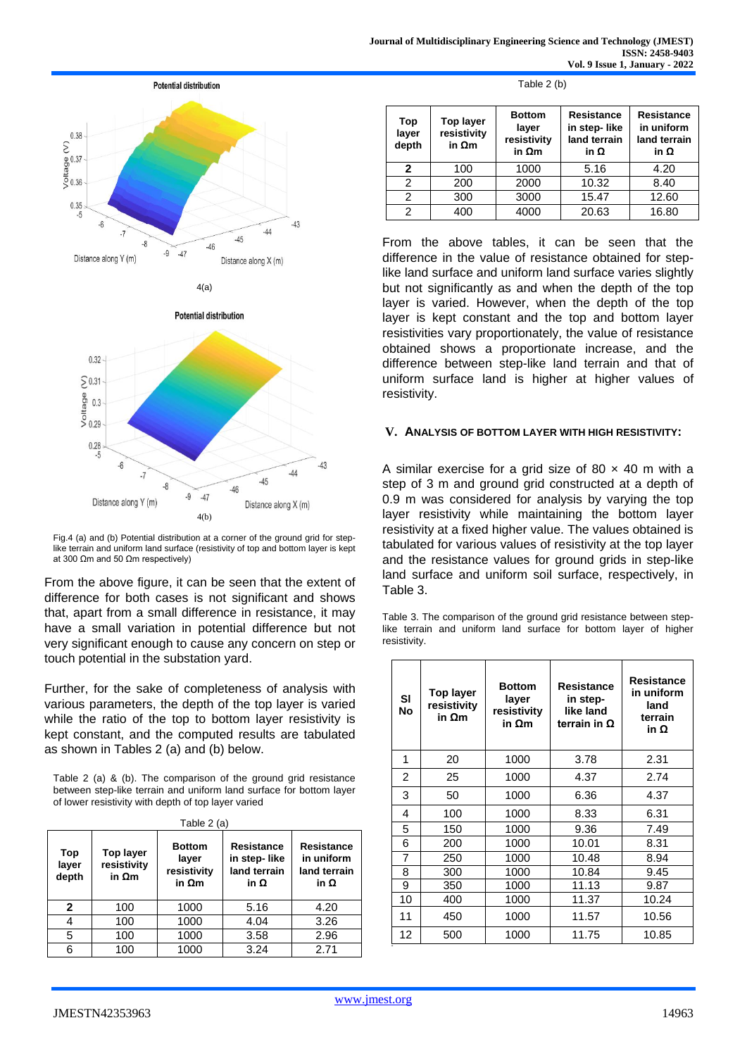



Fig.4 (a) and (b) Potential distribution at a corner of the ground grid for steplike terrain and uniform land surface (resistivity of top and bottom layer is kept at 300 Ωm and 50 Ωm respectively)

From the above figure, it can be seen that the extent of difference for both cases is not significant and shows that, apart from a small difference in resistance, it may have a small variation in potential difference but not very significant enough to cause any concern on step or touch potential in the substation yard.

Further, for the sake of completeness of analysis with various parameters, the depth of the top layer is varied while the ratio of the top to bottom layer resistivity is kept constant, and the computed results are tabulated as shown in Tables 2 (a) and (b) below.

Table 2 (a) & (b). The comparison of the ground grid resistance between step-like terrain and uniform land surface for bottom layer of lower resistivity with depth of top layer varied

| Table 2 (a)           |                                                  |                                                        |                                                                  |                                                         |  |
|-----------------------|--------------------------------------------------|--------------------------------------------------------|------------------------------------------------------------------|---------------------------------------------------------|--|
| Top<br>layer<br>depth | <b>Top layer</b><br>resistivity<br>in $\Omega$ m | <b>Bottom</b><br>layer<br>resistivity<br>in $\Omega$ m | <b>Resistance</b><br>in step-like<br>land terrain<br>in $\Omega$ | <b>Resistance</b><br>in uniform<br>land terrain<br>iη Ω |  |
| $\mathbf{2}$          | 100                                              | 1000                                                   | 5.16                                                             | 4.20                                                    |  |
|                       | 100                                              | 1000                                                   | 4.04                                                             | 3.26                                                    |  |
| 5                     | 100                                              | 1000                                                   | 3.58                                                             | 2.96                                                    |  |
| 6                     | 100                                              | 1000                                                   | 3.24                                                             | 2.71                                                    |  |

| Table 2 (b) |  |  |
|-------------|--|--|
|-------------|--|--|

| Top<br>layer<br>depth | <b>Top layer</b><br>resistivity<br>in $\Omega$ m | <b>Bottom</b><br>layer<br>resistivity<br>in $\Omega$ m | <b>Resistance</b><br>in step-like<br>land terrain<br>in $\Omega$ | <b>Resistance</b><br>in uniform<br>land terrain<br>in $\Omega$ |
|-----------------------|--------------------------------------------------|--------------------------------------------------------|------------------------------------------------------------------|----------------------------------------------------------------|
| 2                     | 100                                              | 1000                                                   | 5.16                                                             | 4.20                                                           |
| 2                     | 200                                              | 2000                                                   | 10.32                                                            | 8.40                                                           |
| 2                     | 300                                              | 3000                                                   | 15.47                                                            | 12.60                                                          |
| 2                     | 400                                              | 4000                                                   | 20.63                                                            | 16.80                                                          |

From the above tables, it can be seen that the difference in the value of resistance obtained for steplike land surface and uniform land surface varies slightly but not significantly as and when the depth of the top layer is varied. However, when the depth of the top layer is kept constant and the top and bottom layer resistivities vary proportionately, the value of resistance obtained shows a proportionate increase, and the difference between step-like land terrain and that of uniform surface land is higher at higher values of resistivity.

#### **V. ANALYSIS OF BOTTOM LAYER WITH HIGH RESISTIVITY:**

A similar exercise for a grid size of 80  $\times$  40 m with a step of 3 m and ground grid constructed at a depth of 0.9 m was considered for analysis by varying the top layer resistivity while maintaining the bottom layer resistivity at a fixed higher value. The values obtained is tabulated for various values of resistivity at the top layer and the resistance values for ground grids in step-like land surface and uniform soil surface, respectively, in Table 3.

Table 3. The comparison of the ground grid resistance between steplike terrain and uniform land surface for bottom layer of higher resistivity.

| SI<br>No | <b>Top layer</b><br>resistivity<br>in $\Omega$ m | <b>Bottom</b><br>layer<br>resistivity<br>in $\Omega$ m | <b>Resistance</b><br>in step-<br>like land<br>terrain in $\Omega$ | Resistance<br>in uniform<br>land<br>terrain<br>in Ω |
|----------|--------------------------------------------------|--------------------------------------------------------|-------------------------------------------------------------------|-----------------------------------------------------|
| 1        | 20                                               | 1000                                                   | 3.78                                                              | 2.31                                                |
| 2        | 25                                               | 1000                                                   | 4.37                                                              | 2.74                                                |
| 3        | 50                                               | 1000                                                   | 6.36                                                              | 4.37                                                |
| 4        | 100                                              | 1000                                                   | 8.33                                                              | 6.31                                                |
| 5        | 150                                              | 1000                                                   | 9.36                                                              | 7.49                                                |
| 6        | 200                                              | 1000                                                   | 10.01                                                             | 8.31                                                |
| 7        | 250                                              | 1000                                                   | 10.48                                                             | 8.94                                                |
| 8        | 300                                              | 1000                                                   | 10.84                                                             | 9.45                                                |
| 9        | 350                                              | 1000                                                   | 11.13                                                             | 9.87                                                |
| 10       | 400                                              | 1000                                                   | 11.37                                                             | 10.24                                               |
| 11       | 450                                              | 1000                                                   | 11.57                                                             | 10.56                                               |
| 12       | 500                                              | 1000                                                   | 11.75                                                             | 10.85                                               |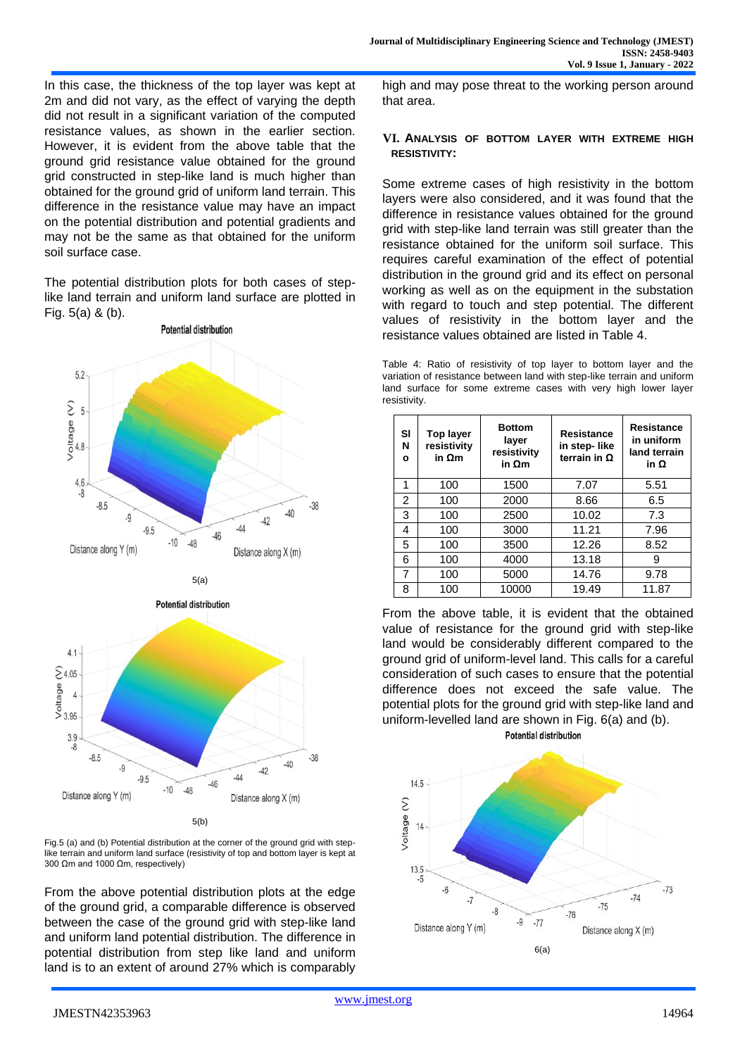In this case, the thickness of the top layer was kept at 2m and did not vary, as the effect of varying the depth did not result in a significant variation of the computed resistance values, as shown in the earlier section. However, it is evident from the above table that the ground grid resistance value obtained for the ground grid constructed in step-like land is much higher than obtained for the ground grid of uniform land terrain. This difference in the resistance value may have an impact on the potential distribution and potential gradients and may not be the same as that obtained for the uniform soil surface case.

The potential distribution plots for both cases of steplike land terrain and uniform land surface are plotted in Fig. 5(a) & (b).



5(a)



Fig.5 (a) and (b) Potential distribution at the corner of the ground grid with steplike terrain and uniform land surface (resistivity of top and bottom layer is kept at 300 Ωm and 1000 Ωm, respectively)

From the above potential distribution plots at the edge of the ground grid, a comparable difference is observed between the case of the ground grid with step-like land and uniform land potential distribution. The difference in potential distribution from step like land and uniform land is to an extent of around 27% which is comparably

high and may pose threat to the working person around that area.

### **VI. ANALYSIS OF BOTTOM LAYER WITH EXTREME HIGH RESISTIVITY:**

Some extreme cases of high resistivity in the bottom layers were also considered, and it was found that the difference in resistance values obtained for the ground grid with step-like land terrain was still greater than the resistance obtained for the uniform soil surface. This requires careful examination of the effect of potential distribution in the ground grid and its effect on personal working as well as on the equipment in the substation with regard to touch and step potential. The different values of resistivity in the bottom layer and the resistance values obtained are listed in Table 4.

Table 4: Ratio of resistivity of top layer to bottom layer and the variation of resistance between land with step-like terrain and uniform land surface for some extreme cases with very high lower layer resistivity.

| SI<br>N<br>٥   | <b>Top layer</b><br>resistivity<br>in $\Omega$ m | <b>Bottom</b><br>layer<br>resistivity<br>in $\Omega$ m | <b>Resistance</b><br>in step-like<br>terrain in $\Omega$ | <b>Resistance</b><br>in uniform<br>land terrain<br>iη Ω |
|----------------|--------------------------------------------------|--------------------------------------------------------|----------------------------------------------------------|---------------------------------------------------------|
| 1              | 100                                              | 1500                                                   | 7.07                                                     | 5.51                                                    |
| $\overline{2}$ | 100                                              | 2000                                                   | 8.66                                                     | 6.5                                                     |
| 3              | 100                                              | 2500                                                   | 10.02                                                    | 7.3                                                     |
| 4              | 100                                              | 3000                                                   | 11.21                                                    | 7.96                                                    |
| 5              | 100                                              | 3500                                                   | 12.26                                                    | 8.52                                                    |
| 6              | 100                                              | 4000                                                   | 13.18                                                    | 9                                                       |
| 7              | 100                                              | 5000                                                   | 14.76                                                    | 9.78                                                    |
| 8              | 100                                              | 10000                                                  | 19.49                                                    | 11.87                                                   |

From the above table, it is evident that the obtained value of resistance for the ground grid with step-like land would be considerably different compared to the ground grid of uniform-level land. This calls for a careful consideration of such cases to ensure that the potential difference does not exceed the safe value. The potential plots for the ground grid with step-like land and uniform-levelled land are shown in Fig. 6(a) and (b).

**Potential distribution** 

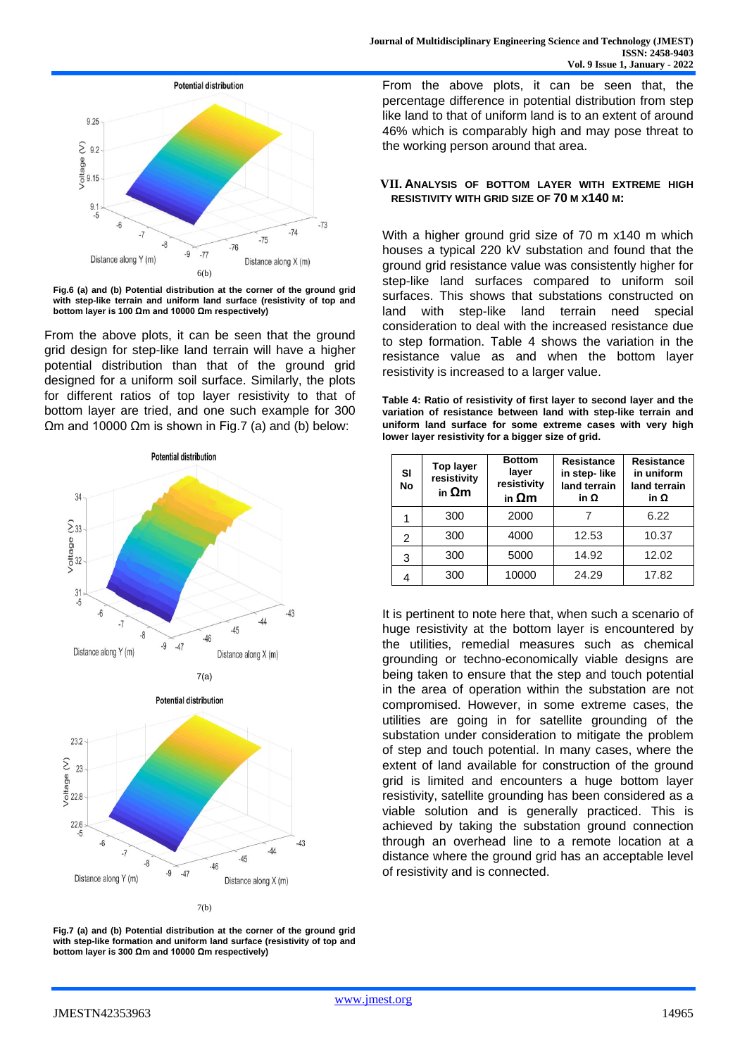

**Fig.6 (a) and (b) Potential distribution at the corner of the ground grid**  with step-like terrain and uniform land surface (resistivity of top and **bottom layer is 100 Ωm and 10000 Ωm respectively)** 

From the above plots, it can be seen that the ground grid design for step-like land terrain will have a higher potential distribution than that of the ground grid designed for a uniform soil surface. Similarly, the plots for different ratios of top layer resistivity to that of bottom layer are tried, and one such example for 300 Ωm and 10000 Ωm is shown in Fig.7 (a) and (b) below:







**Fig.7 (a) and (b) Potential distribution at the corner of the ground grid**  with step-like formation and uniform land surface (resistivity of top and **bottom layer is 300 Ωm and 10000 Ωm respectively)** 

From the above plots, it can be seen that, the percentage difference in potential distribution from step like land to that of uniform land is to an extent of around 46% which is comparably high and may pose threat to the working person around that area.

## **VII. ANALYSIS OF BOTTOM LAYER WITH EXTREME HIGH RESISTIVITY WITH GRID SIZE OF 70 M X140 M:**

With a higher ground grid size of 70 m x140 m which houses a typical 220 kV substation and found that the ground grid resistance value was consistently higher for step-like land surfaces compared to uniform soil surfaces. This shows that substations constructed on land with step-like land terrain need special consideration to deal with the increased resistance due to step formation. Table 4 shows the variation in the resistance value as and when the bottom layer resistivity is increased to a larger value.

**Table 4: Ratio of resistivity of first layer to second layer and the variation of resistance between land with step-like terrain and uniform land surface for some extreme cases with very high lower layer resistivity for a bigger size of grid.**

| SI<br><b>No</b> | <b>Top layer</b><br>resistivity<br>in $\Omega$ m | <b>Bottom</b><br>layer<br>resistivity<br>in $\Omega$ m | <b>Resistance</b><br>in step-like<br>land terrain<br>iη Ω | <b>Resistance</b><br>in uniform<br>land terrain<br>iη Ω |
|-----------------|--------------------------------------------------|--------------------------------------------------------|-----------------------------------------------------------|---------------------------------------------------------|
|                 | 300                                              | 2000                                                   |                                                           | 6.22                                                    |
| 2               | 300                                              | 4000                                                   | 12.53                                                     | 10.37                                                   |
| 3               | 300                                              | 5000                                                   | 14.92                                                     | 12.02                                                   |
|                 | 300                                              | 10000                                                  | 24.29                                                     | 17.82                                                   |

It is pertinent to note here that, when such a scenario of huge resistivity at the bottom layer is encountered by the utilities, remedial measures such as chemical grounding or techno-economically viable designs are being taken to ensure that the step and touch potential in the area of operation within the substation are not compromised. However, in some extreme cases, the utilities are going in for satellite grounding of the substation under consideration to mitigate the problem of step and touch potential. In many cases, where the extent of land available for construction of the ground grid is limited and encounters a huge bottom layer resistivity, satellite grounding has been considered as a viable solution and is generally practiced. This is achieved by taking the substation ground connection through an overhead line to a remote location at a distance where the ground grid has an acceptable level of resistivity and is connected.